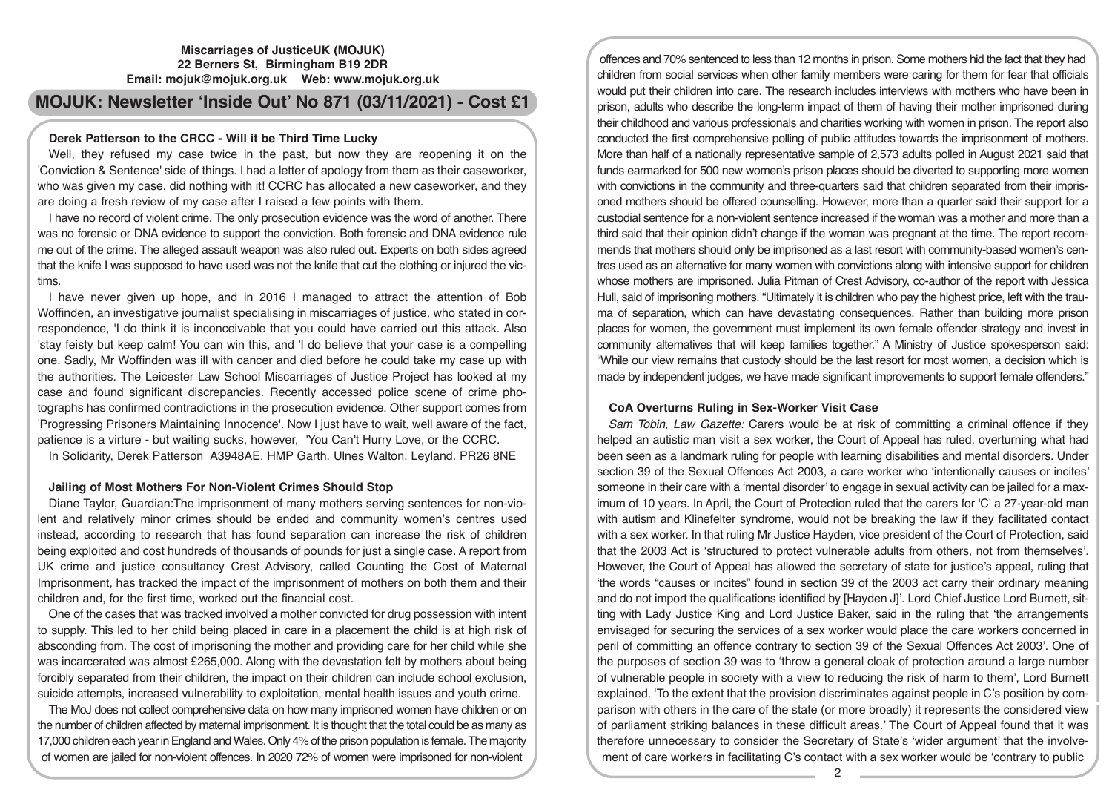# **Miscarriages of JusticeUK (MOJUK) 22 Berners St, Birmingham B19 2DR Email: mojuk@mojuk.org.uk Web: www.mojuk.org.uk**

# **MOJUK: Newsletter 'Inside Out' No 871 (03/11/2021) - Cost £1**

# **Derek Patterson to the CRCC - Will it be Third Time Lucky**

Well, they refused my case twice in the past, but now they are reopening it on the 'Conviction & Sentence' side of things. I had a letter of apology from them as their caseworker, who was given my case, did nothing with it! CCRC has allocated a new caseworker, and they are doing a fresh review of my case after I raised a few points with them.

I have no record of violent crime. The only prosecution evidence was the word of another. There was no forensic or DNA evidence to support the conviction. Both forensic and DNA evidence rule me out of the crime. The alleged assault weapon was also ruled out. Experts on both sides agreed that the knife I was supposed to have used was not the knife that cut the clothing or injured the victims.

I have never given up hope, and in 2016 I managed to attract the attention of Bob Woffinden, an investigative journalist specialising in miscarriages of justice, who stated in correspondence, 'I do think it is inconceivable that you could have carried out this attack. Also 'stay feisty but keep calm! You can win this, and 'I do believe that your case is a compelling one. Sadly, Mr Woffinden was ill with cancer and died before he could take my case up with the authorities. The Leicester Law School Miscarriages of Justice Project has looked at my case and found significant discrepancies. Recently accessed police scene of crime photographs has confirmed contradictions in the prosecution evidence. Other support comes from 'Progressing Prisoners Maintaining Innocence'. Now I just have to wait, well aware of the fact, patience is a virture - but waiting sucks, however, 'You Can't Hurry Love, or the CCRC.

In Solidarity, Derek Patterson A3948AE. HMP Garth. Ulnes Walton. Leyland. PR26 8NE

# **Jailing of Most Mothers For Non-Violent Crimes Should Stop**

Diane Taylor, Guardian:The imprisonment of many mothers serving sentences for non-violent and relatively minor crimes should be ended and community women's centres used instead, according to research that has found separation can increase the risk of children being exploited and cost hundreds of thousands of pounds for just a single case. A report from UK crime and justice consultancy Crest Advisory, called Counting the Cost of Maternal Imprisonment, has tracked the impact of the imprisonment of mothers on both them and their children and, for the first time, worked out the financial cost.

One of the cases that was tracked involved a mother convicted for drug possession with intent to supply. This led to her child being placed in care in a placement the child is at high risk of absconding from. The cost of imprisoning the mother and providing care for her child while she was incarcerated was almost £265,000. Along with the devastation felt by mothers about being forcibly separated from their children, the impact on their children can include school exclusion, suicide attempts, increased vulnerability to exploitation, mental health issues and youth crime.

The MoJ does not collect comprehensive data on how many imprisoned women have children or on the number of children affected by maternal imprisonment. It is thought that the total could be as many as 17,000 children each year in England and Wales. Only 4% of the prison population is female. The majority of women are jailed for non-violent offences. In 2020 72% of women were imprisoned for non-violent

offences and 70% sentenced to less than 12 months in prison. Some mothers hid the fact that they had children from social services when other family members were caring for them for fear that officials would put their children into care. The research includes interviews with mothers who have been in prison, adults who describe the long-term impact of them of having their mother imprisoned during their childhood and various professionals and charities working with women in prison. The report also conducted the first comprehensive polling of public attitudes towards the imprisonment of mothers. More than half of a nationally representative sample of 2,573 adults polled in August 2021 said that funds earmarked for 500 new women's prison places should be diverted to supporting more women with convictions in the community and three-quarters said that children separated from their imprisoned mothers should be offered counselling. However, more than a quarter said their support for a custodial sentence for a non-violent sentence increased if the woman was a mother and more than a third said that their opinion didn't change if the woman was pregnant at the time. The report recommends that mothers should only be imprisoned as a last resort with community-based women's centres used as an alternative for many women with convictions along with intensive support for children whose mothers are imprisoned. Julia Pitman of Crest Advisory, co-author of the report with Jessica Hull, said of imprisoning mothers. "Ultimately it is children who pay the highest price, left with the trauma of separation, which can have devastating consequences. Rather than building more prison places for women, the government must implement its own female offender strategy and invest in community alternatives that will keep families together." A Ministry of Justice spokesperson said: "While our view remains that custody should be the last resort for most women, a decision which is made by independent judges, we have made significant improvements to support female offenders."

# **CoA Overturns Ruling in Sex-Worker Visit Case**

*Sam Tobin, Law Gazette:* Carers would be at risk of committing a criminal offence if they helped an autistic man visit a sex worker, the Court of Appeal has ruled, overturning what had been seen as a landmark ruling for people with learning disabilities and mental disorders. Under section 39 of the Sexual Offences Act 2003, a care worker who 'intentionally causes or incites' someone in their care with a 'mental disorder' to engage in sexual activity can be jailed for a maximum of 10 years. In April, the Court of Protection ruled that the carers for 'C' a 27-year-old man with autism and Klinefelter syndrome, would not be breaking the law if they facilitated contact with a sex worker. In that ruling Mr Justice Hayden, vice president of the Court of Protection, said that the 2003 Act is 'structured to protect vulnerable adults from others, not from themselves'. However, the Court of Appeal has allowed the secretary of state for justice's appeal, ruling that 'the words "causes or incites" found in section 39 of the 2003 act carry their ordinary meaning and do not import the qualifications identified by [Hayden J]'. Lord Chief Justice Lord Burnett, sitting with Lady Justice King and Lord Justice Baker, said in the ruling that 'the arrangements envisaged for securing the services of a sex worker would place the care workers concerned in peril of committing an offence contrary to section 39 of the Sexual Offences Act 2003'. One of the purposes of section 39 was to 'throw a general cloak of protection around a large number of vulnerable people in society with a view to reducing the risk of harm to them', Lord Burnett explained. 'To the extent that the provision discriminates against people in C's position by comparison with others in the care of the state (or more broadly) it represents the considered view of parliament striking balances in these difficult areas.' The Court of Appeal found that it was therefore unnecessary to consider the Secretary of State's 'wider argument' that the involvement of care workers in facilitating C's contact with a sex worker would be 'contrary to public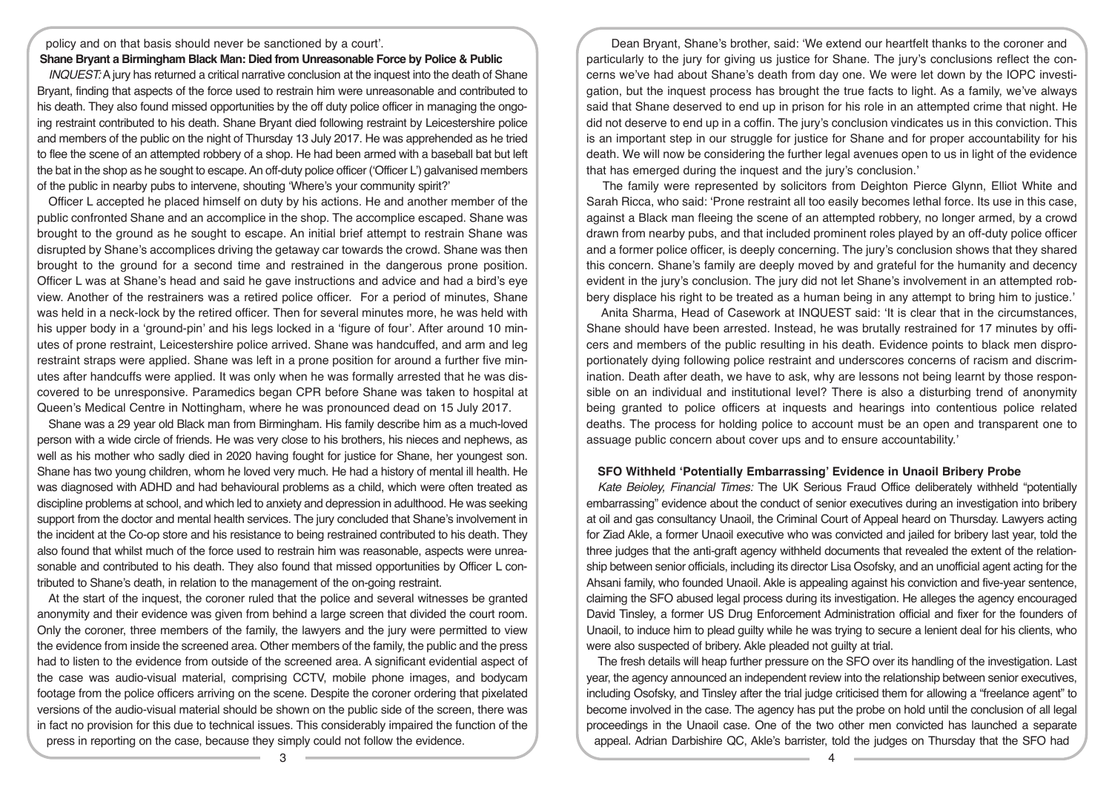policy and on that basis should never be sanctioned by a court'.

## **Shane Bryant a Birmingham Black Man: Died from Unreasonable Force by Police & Public**

*INQUEST:* A jury has returned a critical narrative conclusion at the inquest into the death of Shane Bryant, finding that aspects of the force used to restrain him were unreasonable and contributed to his death. They also found missed opportunities by the off duty police officer in managing the ongoing restraint contributed to his death. Shane Bryant died following restraint by Leicestershire police and members of the public on the night of Thursday 13 July 2017. He was apprehended as he tried to flee the scene of an attempted robbery of a shop. He had been armed with a baseball bat but left the bat in the shop as he sought to escape. An off-duty police officer ('Officer L') galvanised members of the public in nearby pubs to intervene, shouting 'Where's your community spirit?'

Officer L accepted he placed himself on duty by his actions. He and another member of the public confronted Shane and an accomplice in the shop. The accomplice escaped. Shane was brought to the ground as he sought to escape. An initial brief attempt to restrain Shane was disrupted by Shane's accomplices driving the getaway car towards the crowd. Shane was then brought to the ground for a second time and restrained in the dangerous prone position. Officer L was at Shane's head and said he gave instructions and advice and had a bird's eye view. Another of the restrainers was a retired police officer. For a period of minutes, Shane was held in a neck-lock by the retired officer. Then for several minutes more, he was held with his upper body in a 'ground-pin' and his legs locked in a 'figure of four'. After around 10 minutes of prone restraint, Leicestershire police arrived. Shane was handcuffed, and arm and leg restraint straps were applied. Shane was left in a prone position for around a further five minutes after handcuffs were applied. It was only when he was formally arrested that he was discovered to be unresponsive. Paramedics began CPR before Shane was taken to hospital at Queen's Medical Centre in Nottingham, where he was pronounced dead on 15 July 2017.

Shane was a 29 year old Black man from Birmingham. His family describe him as a much-loved person with a wide circle of friends. He was very close to his brothers, his nieces and nephews, as well as his mother who sadly died in 2020 having fought for justice for Shane, her youngest son. Shane has two young children, whom he loved very much. He had a history of mental ill health. He was diagnosed with ADHD and had behavioural problems as a child, which were often treated as discipline problems at school, and which led to anxiety and depression in adulthood. He was seeking support from the doctor and mental health services. The jury concluded that Shane's involvement in the incident at the Co-op store and his resistance to being restrained contributed to his death. They also found that whilst much of the force used to restrain him was reasonable, aspects were unreasonable and contributed to his death. They also found that missed opportunities by Officer L contributed to Shane's death, in relation to the management of the on-going restraint.

At the start of the inquest, the coroner ruled that the police and several witnesses be granted anonymity and their evidence was given from behind a large screen that divided the court room. Only the coroner, three members of the family, the lawyers and the jury were permitted to view the evidence from inside the screened area. Other members of the family, the public and the press had to listen to the evidence from outside of the screened area. A significant evidential aspect of the case was audio-visual material, comprising CCTV, mobile phone images, and bodycam footage from the police officers arriving on the scene. Despite the coroner ordering that pixelated versions of the audio-visual material should be shown on the public side of the screen, there was in fact no provision for this due to technical issues. This considerably impaired the function of the press in reporting on the case, because they simply could not follow the evidence.

 Dean Bryant, Shane's brother, said: 'We extend our heartfelt thanks to the coroner and particularly to the jury for giving us justice for Shane. The jury's conclusions reflect the concerns we've had about Shane's death from day one. We were let down by the IOPC investigation, but the inquest process has brought the true facts to light. As a family, we've always said that Shane deserved to end up in prison for his role in an attempted crime that night. He did not deserve to end up in a coffin. The jury's conclusion vindicates us in this conviction. This is an important step in our struggle for justice for Shane and for proper accountability for his death. We will now be considering the further legal avenues open to us in light of the evidence that has emerged during the inquest and the jury's conclusion.'

 The family were represented by solicitors from Deighton Pierce Glynn, Elliot White and Sarah Ricca, who said: 'Prone restraint all too easily becomes lethal force. Its use in this case, against a Black man fleeing the scene of an attempted robbery, no longer armed, by a crowd drawn from nearby pubs, and that included prominent roles played by an off-duty police officer and a former police officer, is deeply concerning. The jury's conclusion shows that they shared this concern. Shane's family are deeply moved by and grateful for the humanity and decency evident in the jury's conclusion. The jury did not let Shane's involvement in an attempted robbery displace his right to be treated as a human being in any attempt to bring him to justice.'

 Anita Sharma, Head of Casework at INQUEST said: 'It is clear that in the circumstances, Shane should have been arrested. Instead, he was brutally restrained for 17 minutes by officers and members of the public resulting in his death. Evidence points to black men disproportionately dying following police restraint and underscores concerns of racism and discrimination. Death after death, we have to ask, why are lessons not being learnt by those responsible on an individual and institutional level? There is also a disturbing trend of anonymity being granted to police officers at inquests and hearings into contentious police related deaths. The process for holding police to account must be an open and transparent one to assuage public concern about cover ups and to ensure accountability.'

### **SFO Withheld 'Potentially Embarrassing' Evidence in Unaoil Bribery Probe**

*Kate Beioley, Financial Times:* The UK Serious Fraud Office deliberately withheld "potentially embarrassing" evidence about the conduct of senior executives during an investigation into bribery at oil and gas consultancy Unaoil, the Criminal Court of Appeal heard on Thursday. Lawyers acting for Ziad Akle, a former Unaoil executive who was convicted and jailed for bribery last year, told the three judges that the anti-graft agency withheld documents that revealed the extent of the relationship between senior officials, including its director Lisa Osofsky, and an unofficial agent acting for the Ahsani family, who founded Unaoil. Akle is appealing against his conviction and five-year sentence, claiming the SFO abused legal process during its investigation. He alleges the agency encouraged David Tinsley, a former US Drug Enforcement Administration official and fixer for the founders of Unaoil, to induce him to plead guilty while he was trying to secure a lenient deal for his clients, who were also suspected of bribery. Akle pleaded not guilty at trial.

The fresh details will heap further pressure on the SFO over its handling of the investigation. Last year, the agency announced an independent review into the relationship between senior executives, including Osofsky, and Tinsley after the trial judge criticised them for allowing a "freelance agent" to become involved in the case. The agency has put the probe on hold until the conclusion of all legal proceedings in the Unaoil case. One of the two other men convicted has launched a separate appeal. Adrian Darbishire QC, Akle's barrister, told the judges on Thursday that the SFO had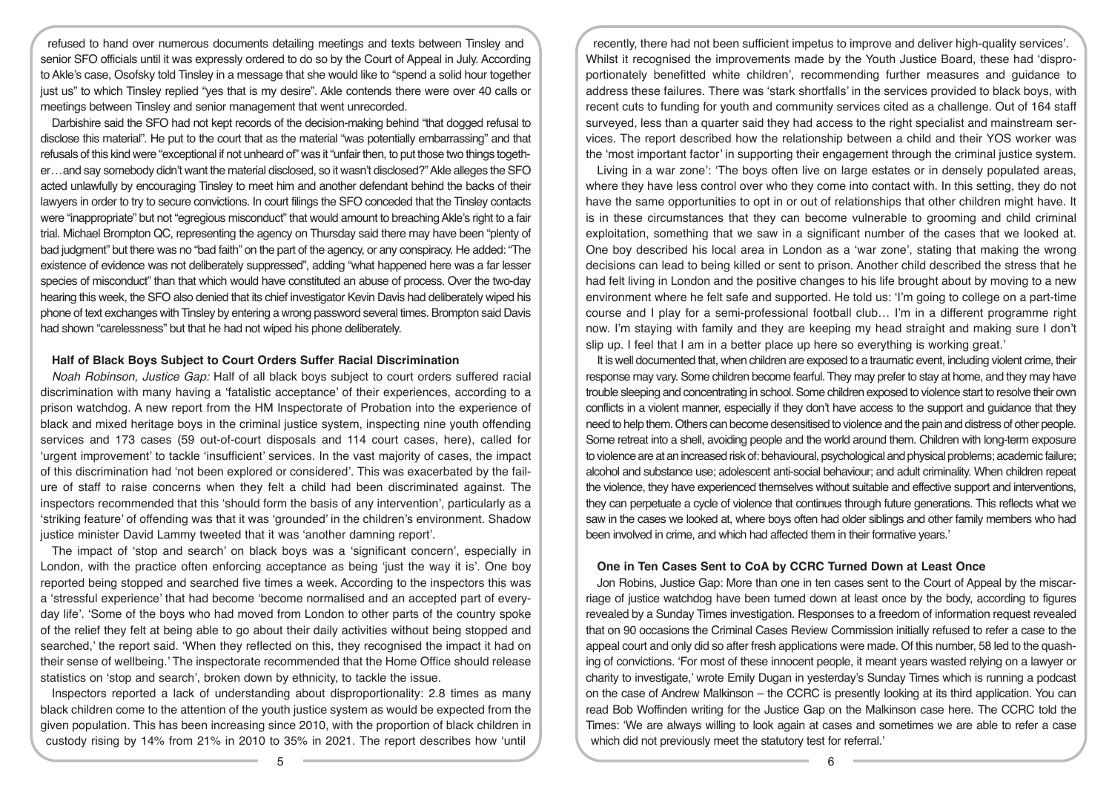refused to hand over numerous documents detailing meetings and texts between Tinsley and senior SFO officials until it was expressly ordered to do so by the Court of Appeal in July. According to Akle's case, Osofsky told Tinsley in a message that she would like to "spend a solid hour together just us" to which Tinsley replied "yes that is my desire". Akle contends there were over 40 calls or meetings between Tinsley and senior management that went unrecorded.

Darbishire said the SFO had not kept records of the decision-making behind "that dogged refusal to disclose this material". He put to the court that as the material "was potentially embarrassing" and that refusals of this kind were "exceptional if not unheard of" was it "unfair then, to put those two things together...and say somebody didn't want the material disclosed, so it wasn't disclosed?" Akle alleges the SFO acted unlawfully by encouraging Tinsley to meet him and another defendant behind the backs of their lawyers in order to try to secure convictions. In court filings the SFO conceded that the Tinsley contacts were "inappropriate" but not "egregious misconduct" that would amount to breaching Akle's right to a fair trial. Michael Brompton QC, representing the agency on Thursday said there may have been "plenty of bad judgment" but there was no "bad faith" on the part of the agency, or any conspiracy. He added: "The existence of evidence was not deliberately suppressed", adding "what happened here was a far lesser species of misconduct" than that which would have constituted an abuse of process. Over the two-day hearing this week, the SFO also denied that its chief investigator Kevin Davis had deliberately wiped his phone of text exchanges with Tinsley by entering a wrong password several times. Brompton said Davis had shown "carelessness" but that he had not wiped his phone deliberately.

# **Half of Black Boys Subject to Court Orders Suffer Racial Discrimination**

*Noah Robinson, Justice Gap:* Half of all black boys subject to court orders suffered racial discrimination with many having a 'fatalistic acceptance' of their experiences, according to a prison watchdog. A new report from the HM Inspectorate of Probation into the experience of black and mixed heritage boys in the criminal justice system, inspecting nine youth offending services and 173 cases (59 out-of-court disposals and 114 court cases, here), called for 'urgent improvement' to tackle 'insufficient' services. In the vast majority of cases, the impact of this discrimination had 'not been explored or considered'. This was exacerbated by the failure of staff to raise concerns when they felt a child had been discriminated against. The inspectors recommended that this 'should form the basis of any intervention', particularly as a 'striking feature' of offending was that it was 'grounded' in the children's environment. Shadow justice minister David Lammy tweeted that it was 'another damning report'.

The impact of 'stop and search' on black boys was a 'significant concern', especially in London, with the practice often enforcing acceptance as being 'just the way it is'. One boy reported being stopped and searched five times a week. According to the inspectors this was a 'stressful experience' that had become 'become normalised and an accepted part of everyday life'. 'Some of the boys who had moved from London to other parts of the country spoke of the relief they felt at being able to go about their daily activities without being stopped and searched,' the report said. 'When they reflected on this, they recognised the impact it had on their sense of wellbeing.' The inspectorate recommended that the Home Office should release statistics on 'stop and search', broken down by ethnicity, to tackle the issue.

Inspectors reported a lack of understanding about disproportionality: 2.8 times as many black children come to the attention of the youth justice system as would be expected from the given population. This has been increasing since 2010, with the proportion of black children in custody rising by 14% from 21% in 2010 to 35% in 2021. The report describes how 'until

recently, there had not been sufficient impetus to improve and deliver high-quality services'. Whilst it recognised the improvements made by the Youth Justice Board, these had 'disproportionately benefitted white children', recommending further measures and guidance to address these failures. There was 'stark shortfalls' in the services provided to black boys, with recent cuts to funding for youth and community services cited as a challenge. Out of 164 staff surveyed, less than a quarter said they had access to the right specialist and mainstream services. The report described how the relationship between a child and their YOS worker was the 'most important factor' in supporting their engagement through the criminal justice system.

Living in a war zone': 'The boys often live on large estates or in densely populated areas, where they have less control over who they come into contact with. In this setting, they do not have the same opportunities to opt in or out of relationships that other children might have. It is in these circumstances that they can become vulnerable to grooming and child criminal exploitation, something that we saw in a significant number of the cases that we looked at. One boy described his local area in London as a 'war zone', stating that making the wrong decisions can lead to being killed or sent to prison. Another child described the stress that he had felt living in London and the positive changes to his life brought about by moving to a new environment where he felt safe and supported. He told us: 'I'm going to college on a part-time course and I play for a semi-professional football club… I'm in a different programme right now. I'm staying with family and they are keeping my head straight and making sure I don't slip up. I feel that I am in a better place up here so everything is working great.'

It is well documented that, when children are exposed to a traumatic event, including violent crime, their response may vary. Some children become fearful. They may prefer to stay at home, and they may have trouble sleeping and concentrating in school. Some children exposed to violence start to resolve their own conflicts in a violent manner, especially if they don't have access to the support and guidance that they need to help them. Others can become desensitised to violence and the pain and distress of other people. Some retreat into a shell, avoiding people and the world around them. Children with long-term exposure to violence are at an increased risk of: behavioural, psychological and physical problems; academic failure; alcohol and substance use; adolescent anti-social behaviour; and adult criminality. When children repeat the violence, they have experienced themselves without suitable and effective support and interventions, they can perpetuate a cycle of violence that continues through future generations. This reflects what we saw in the cases we looked at, where boys often had older siblings and other family members who had been involved in crime, and which had affected them in their formative years.'

#### **One in Ten Cases Sent to CoA by CCRC Turned Down at Least Once**

Jon Robins, Justice Gap: More than one in ten cases sent to the Court of Appeal by the miscarriage of justice watchdog have been turned down at least once by the body, according to figures revealed by a Sunday Times investigation. Responses to a freedom of information request revealed that on 90 occasions the Criminal Cases Review Commission initially refused to refer a case to the appeal court and only did so after fresh applications were made. Of this number, 58 led to the quashing of convictions. 'For most of these innocent people, it meant years wasted relying on a lawyer or charity to investigate,' wrote Emily Dugan in yesterday's Sunday Times which is running a podcast on the case of Andrew Malkinson – the CCRC is presently looking at its third application. You can read Bob Woffinden writing for the Justice Gap on the Malkinson case here. The CCRC told the Times: 'We are always willing to look again at cases and sometimes we are able to refer a case which did not previously meet the statutory test for referral.'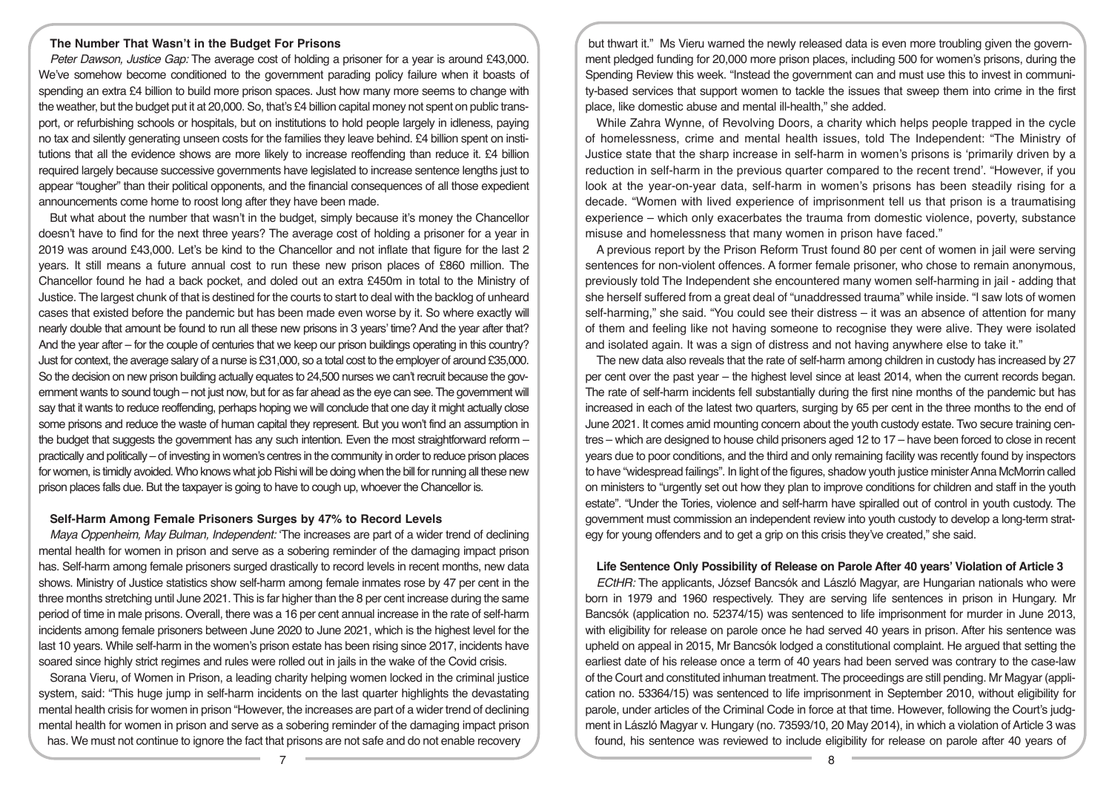# **The Number That Wasn't in the Budget For Prisons**

*Peter Dawson, Justice Gap:* The average cost of holding a prisoner for a year is around £43,000. We've somehow become conditioned to the government parading policy failure when it boasts of spending an extra £4 billion to build more prison spaces. Just how many more seems to change with the weather, but the budget put it at 20,000. So, that's £4 billion capital money not spent on public transport, or refurbishing schools or hospitals, but on institutions to hold people largely in idleness, paying no tax and silently generating unseen costs for the families they leave behind. £4 billion spent on institutions that all the evidence shows are more likely to increase reoffending than reduce it. £4 billion required largely because successive governments have legislated to increase sentence lengths just to appear "tougher" than their political opponents, and the financial consequences of all those expedient announcements come home to roost long after they have been made.

But what about the number that wasn't in the budget, simply because it's money the Chancellor doesn't have to find for the next three years? The average cost of holding a prisoner for a year in 2019 was around £43,000. Let's be kind to the Chancellor and not inflate that figure for the last 2 years. It still means a future annual cost to run these new prison places of £860 million. The Chancellor found he had a back pocket, and doled out an extra £450m in total to the Ministry of Justice. The largest chunk of that is destined for the courts to start to deal with the backlog of unheard cases that existed before the pandemic but has been made even worse by it. So where exactly will nearly double that amount be found to run all these new prisons in 3 years' time? And the year after that? And the year after – for the couple of centuries that we keep our prison buildings operating in this country? Just for context, the average salary of a nurse is £31,000, so a total cost to the employer of around £35,000. So the decision on new prison building actually equates to 24,500 nurses we can't recruit because the government wants to sound tough – not just now, but for as far ahead as the eye can see. The government will say that it wants to reduce reoffending, perhaps hoping we will conclude that one day it might actually close some prisons and reduce the waste of human capital they represent. But you won't find an assumption in the budget that suggests the government has any such intention. Even the most straightforward reform practically and politically – of investing in women's centres in the community in order to reduce prison places for women, is timidly avoided. Who knows what job Rishi will be doing when the bill for running all these new prison places falls due. But the taxpayer is going to have to cough up, whoever the Chancellor is.

## **Self-Harm Among Female Prisoners Surges by 47% to Record Levels**

*Maya Oppenheim, May Bulman, Independent:* 'The increases are part of a wider trend of declining mental health for women in prison and serve as a sobering reminder of the damaging impact prison has. Self-harm among female prisoners surged drastically to record levels in recent months, new data shows. Ministry of Justice statistics show self-harm among female inmates rose by 47 per cent in the three months stretching until June 2021. This is far higher than the 8 per cent increase during the same period of time in male prisons. Overall, there was a 16 per cent annual increase in the rate of self-harm incidents among female prisoners between June 2020 to June 2021, which is the highest level for the last 10 years. While self-harm in the women's prison estate has been rising since 2017, incidents have soared since highly strict regimes and rules were rolled out in jails in the wake of the Covid crisis.

Sorana Vieru, of Women in Prison, a leading charity helping women locked in the criminal justice system, said: "This huge jump in self-harm incidents on the last quarter highlights the devastating mental health crisis for women in prison "However, the increases are part of a wider trend of declining mental health for women in prison and serve as a sobering reminder of the damaging impact prison has. We must not continue to ignore the fact that prisons are not safe and do not enable recovery

but thwart it." Ms Vieru warned the newly released data is even more troubling given the government pledged funding for 20,000 more prison places, including 500 for women's prisons, during the Spending Review this week. "Instead the government can and must use this to invest in community-based services that support women to tackle the issues that sweep them into crime in the first place, like domestic abuse and mental ill-health," she added.

While Zahra Wynne, of Revolving Doors, a charity which helps people trapped in the cycle of homelessness, crime and mental health issues, told The Independent: "The Ministry of Justice state that the sharp increase in self-harm in women's prisons is 'primarily driven by a reduction in self-harm in the previous quarter compared to the recent trend'. "However, if you look at the year-on-year data, self-harm in women's prisons has been steadily rising for a decade. "Women with lived experience of imprisonment tell us that prison is a traumatising experience – which only exacerbates the trauma from domestic violence, poverty, substance misuse and homelessness that many women in prison have faced."

A previous report by the Prison Reform Trust found 80 per cent of women in jail were serving sentences for non-violent offences. A former female prisoner, who chose to remain anonymous, previously told The Independent she encountered many women self-harming in jail - adding that she herself suffered from a great deal of "unaddressed trauma" while inside. "I saw lots of women self-harming," she said. "You could see their distress – it was an absence of attention for many of them and feeling like not having someone to recognise they were alive. They were isolated and isolated again. It was a sign of distress and not having anywhere else to take it."

The new data also reveals that the rate of self-harm among children in custody has increased by 27 per cent over the past year – the highest level since at least 2014, when the current records began. The rate of self-harm incidents fell substantially during the first nine months of the pandemic but has increased in each of the latest two quarters, surging by 65 per cent in the three months to the end of June 2021. It comes amid mounting concern about the youth custody estate. Two secure training centres – which are designed to house child prisoners aged 12 to 17 – have been forced to close in recent years due to poor conditions, and the third and only remaining facility was recently found by inspectors to have "widespread failings". In light of the figures, shadow youth justice minister Anna McMorrin called on ministers to "urgently set out how they plan to improve conditions for children and staff in the youth estate". "Under the Tories, violence and self-harm have spiralled out of control in youth custody. The government must commission an independent review into youth custody to develop a long-term strategy for young offenders and to get a grip on this crisis they've created," she said.

#### **Life Sentence Only Possibility of Release on Parole After 40 years' Violation of Article 3**

*ECtHR:* The applicants, József Bancsók and László Magyar, are Hungarian nationals who were born in 1979 and 1960 respectively. They are serving life sentences in prison in Hungary. Mr Bancsók (application no. 52374/15) was sentenced to life imprisonment for murder in June 2013, with eligibility for release on parole once he had served 40 years in prison. After his sentence was upheld on appeal in 2015, Mr Bancsók lodged a constitutional complaint. He argued that setting the earliest date of his release once a term of 40 years had been served was contrary to the case-law of the Court and constituted inhuman treatment. The proceedings are still pending. Mr Magyar (application no. 53364/15) was sentenced to life imprisonment in September 2010, without eligibility for parole, under articles of the Criminal Code in force at that time. However, following the Court's judgment in László Magyar v. Hungary (no. 73593/10, 20 May 2014), in which a violation of Article 3 was found, his sentence was reviewed to include eligibility for release on parole after 40 years of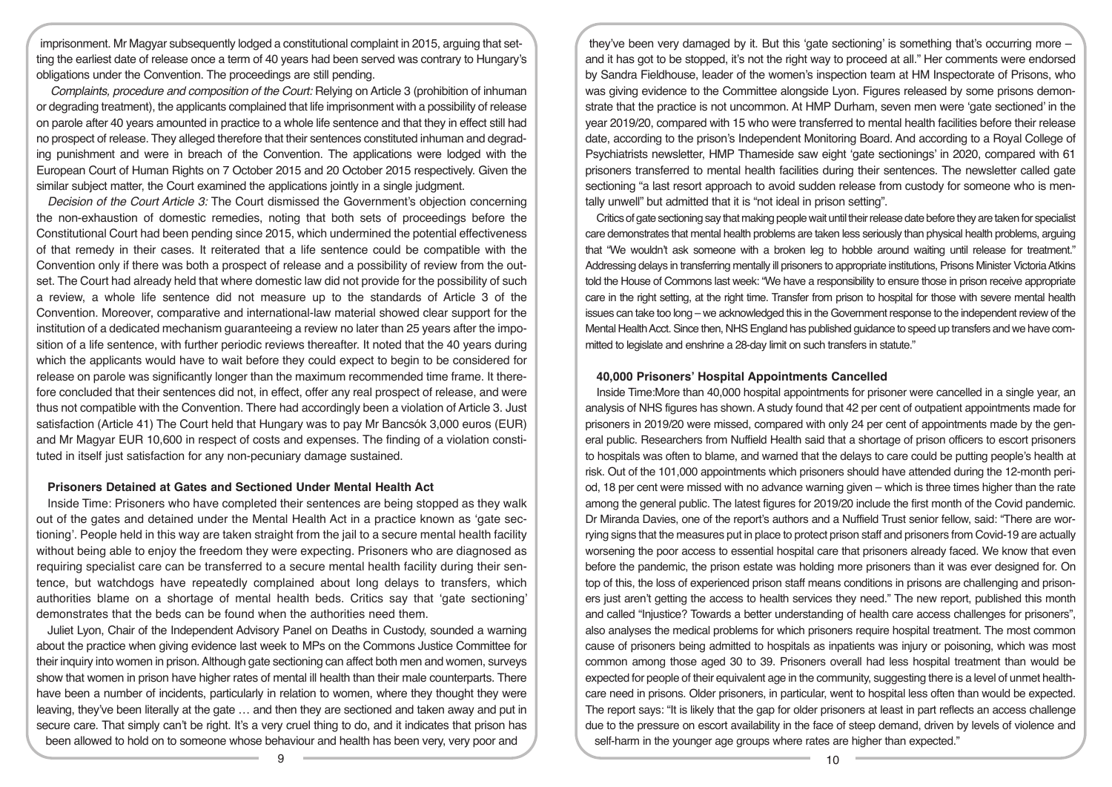imprisonment. Mr Magyar subsequently lodged a constitutional complaint in 2015, arguing that setting the earliest date of release once a term of 40 years had been served was contrary to Hungary's obligations under the Convention. The proceedings are still pending.

 *Complaints, procedure and composition of the Court:* Relying on Article 3 (prohibition of inhuman or degrading treatment), the applicants complained that life imprisonment with a possibility of release on parole after 40 years amounted in practice to a whole life sentence and that they in effect still had no prospect of release. They alleged therefore that their sentences constituted inhuman and degrading punishment and were in breach of the Convention. The applications were lodged with the European Court of Human Rights on 7 October 2015 and 20 October 2015 respectively. Given the similar subject matter, the Court examined the applications jointly in a single judgment.

*Decision of the Court Article 3:* The Court dismissed the Government's objection concerning the non-exhaustion of domestic remedies, noting that both sets of proceedings before the Constitutional Court had been pending since 2015, which undermined the potential effectiveness of that remedy in their cases. It reiterated that a life sentence could be compatible with the Convention only if there was both a prospect of release and a possibility of review from the outset. The Court had already held that where domestic law did not provide for the possibility of such a review, a whole life sentence did not measure up to the standards of Article 3 of the Convention. Moreover, comparative and international-law material showed clear support for the institution of a dedicated mechanism guaranteeing a review no later than 25 years after the imposition of a life sentence, with further periodic reviews thereafter. It noted that the 40 years during which the applicants would have to wait before they could expect to begin to be considered for release on parole was significantly longer than the maximum recommended time frame. It therefore concluded that their sentences did not, in effect, offer any real prospect of release, and were thus not compatible with the Convention. There had accordingly been a violation of Article 3. Just satisfaction (Article 41) The Court held that Hungary was to pay Mr Bancsók 3,000 euros (EUR) and Mr Magyar EUR 10,600 in respect of costs and expenses. The finding of a violation constituted in itself just satisfaction for any non-pecuniary damage sustained.

### **Prisoners Detained at Gates and Sectioned Under Mental Health Act**

Inside Time: Prisoners who have completed their sentences are being stopped as they walk out of the gates and detained under the Mental Health Act in a practice known as 'gate sectioning'. People held in this way are taken straight from the jail to a secure mental health facility without being able to enjoy the freedom they were expecting. Prisoners who are diagnosed as requiring specialist care can be transferred to a secure mental health facility during their sentence, but watchdogs have repeatedly complained about long delays to transfers, which authorities blame on a shortage of mental health beds. Critics say that 'gate sectioning' demonstrates that the beds can be found when the authorities need them.

Juliet Lyon, Chair of the Independent Advisory Panel on Deaths in Custody, sounded a warning about the practice when giving evidence last week to MPs on the Commons Justice Committee for their inquiry into women in prison. Although gate sectioning can affect both men and women, surveys show that women in prison have higher rates of mental ill health than their male counterparts. There have been a number of incidents, particularly in relation to women, where they thought they were leaving, they've been literally at the gate … and then they are sectioned and taken away and put in secure care. That simply can't be right. It's a very cruel thing to do, and it indicates that prison has been allowed to hold on to someone whose behaviour and health has been very, very poor and

they've been very damaged by it. But this 'gate sectioning' is something that's occurring more – and it has got to be stopped, it's not the right way to proceed at all." Her comments were endorsed by Sandra Fieldhouse, leader of the women's inspection team at HM Inspectorate of Prisons, who was giving evidence to the Committee alongside Lyon. Figures released by some prisons demonstrate that the practice is not uncommon. At HMP Durham, seven men were 'gate sectioned' in the year 2019/20, compared with 15 who were transferred to mental health facilities before their release date, according to the prison's Independent Monitoring Board. And according to a Royal College of Psychiatrists newsletter, HMP Thameside saw eight 'gate sectionings' in 2020, compared with 61 prisoners transferred to mental health facilities during their sentences. The newsletter called gate sectioning "a last resort approach to avoid sudden release from custody for someone who is mentally unwell" but admitted that it is "not ideal in prison setting".

Critics of gate sectioning say that making people wait until their release date before they are taken for specialist care demonstrates that mental health problems are taken less seriously than physical health problems, arguing that "We wouldn't ask someone with a broken leg to hobble around waiting until release for treatment." Addressing delays in transferring mentally ill prisoners to appropriate institutions, Prisons Minister Victoria Atkins told the House of Commons last week: "We have a responsibility to ensure those in prison receive appropriate care in the right setting, at the right time. Transfer from prison to hospital for those with severe mental health issues can take too long – we acknowledged this in the Government response to the independent review of the Mental Health Acct. Since then, NHS England has published guidance to speed up transfers and we have committed to legislate and enshrine a 28-day limit on such transfers in statute."

#### **40,000 Prisoners' Hospital Appointments Cancelled**

Inside Time:More than 40,000 hospital appointments for prisoner were cancelled in a single year, an analysis of NHS figures has shown. A study found that 42 per cent of outpatient appointments made for prisoners in 2019/20 were missed, compared with only 24 per cent of appointments made by the general public. Researchers from Nuffield Health said that a shortage of prison officers to escort prisoners to hospitals was often to blame, and warned that the delays to care could be putting people's health at risk. Out of the 101,000 appointments which prisoners should have attended during the 12-month period, 18 per cent were missed with no advance warning given – which is three times higher than the rate among the general public. The latest figures for 2019/20 include the first month of the Covid pandemic. Dr Miranda Davies, one of the report's authors and a Nuffield Trust senior fellow, said: "There are worrying signs that the measures put in place to protect prison staff and prisoners from Covid-19 are actually worsening the poor access to essential hospital care that prisoners already faced. We know that even before the pandemic, the prison estate was holding more prisoners than it was ever designed for. On top of this, the loss of experienced prison staff means conditions in prisons are challenging and prisoners just aren't getting the access to health services they need." The new report, published this month and called "Injustice? Towards a better understanding of health care access challenges for prisoners", also analyses the medical problems for which prisoners require hospital treatment. The most common cause of prisoners being admitted to hospitals as inpatients was injury or poisoning, which was most common among those aged 30 to 39. Prisoners overall had less hospital treatment than would be expected for people of their equivalent age in the community, suggesting there is a level of unmet healthcare need in prisons. Older prisoners, in particular, went to hospital less often than would be expected. The report says: "It is likely that the gap for older prisoners at least in part reflects an access challenge due to the pressure on escort availability in the face of steep demand, driven by levels of violence and self-harm in the younger age groups where rates are higher than expected."